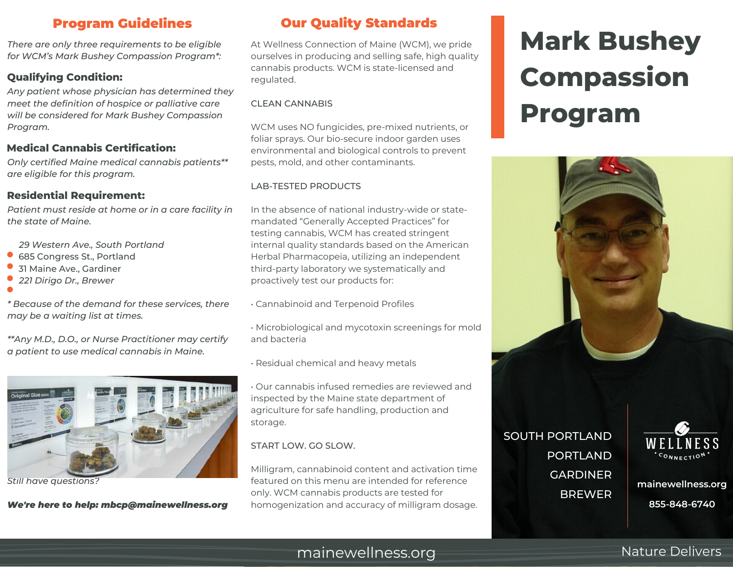*There are only three requirements to be eligible for WCM's Mark Bushey Compassion Program\*:*

### **Qualifying Condition:**

*Any patient whose physician has determined they meet the definition of hospice or palliative care will be considered for Mark Bushey Compassion Program.*

### **Medical Cannabis Certification:**

*Only certified Maine medical cannabis patients\*\* are eligible for this program.*

### **Residential Requirement:**

*Patient must reside at home or in a care facility in the state of Maine.*

 *29 Western Ave., South Portland*

- 685 Congress St., Portland
- 31 Maine Ave., Gardiner
- *221 Dirigo Dr., Brewer*

*\* Because of the demand for these services, there may be a waiting list at times.*

*\*\*Any M.D., D.O., or Nurse Practitioner may certify a patient to use medical cannabis in Maine.*



*Still have questions?*

#### *We're here to help: mbcp@mainewellness.org*

## Program Guidelines Our Quality Standards

At Wellness Connection of Maine (WCM), we pride ourselves in producing and selling safe, high quality cannabis products. WCM is state-licensed and regulated.

#### CLEAN CANNABIS

WCM uses NO fungicides, pre-mixed nutrients, or foliar sprays. Our bio-secure indoor garden uses environmental and biological controls to prevent pests, mold, and other contaminants.

#### LAB-TESTED PRODUCTS

In the absence of national industry-wide or statemandated "Generally Accepted Practices" for testing cannabis, WCM has created stringent internal quality standards based on the American Herbal Pharmacopeia, utilizing an independent third-party laboratory we systematically and proactively test our products for:

• Cannabinoid and Terpenoid Profiles

• Microbiological and mycotoxin screenings for mold and bacteria

• Residual chemical and heavy metals

• Our cannabis infused remedies are reviewed and inspected by the Maine state department of agriculture for safe handling, production and storage.

### START LOW. GO SLOW.

Milligram, cannabinoid content and activation time featured on this menu are intended for reference only. WCM cannabis products are tested for homogenization and accuracy of milligram dosage.

# **Mark Bushey Compassion Program**



FORTLAND WELLN **BREWER** SOUTH PORTLAND PORTLAND GARDINER



**mainewellness.org**

**A T A T 2012 12:33 12:34 12:34 12:34 12:34 12:34 12:34 12:34 12:34 12:34 12:34 12:34 12:34 12:34 12:34 12:34 12:34 12:34 12:34 12:34 12:34 12:34 12:34 12:34 12:34 12:34 12:34 12:34 12:34 12:34 12:34 12:34 12:34 12:34 12:3** 

# mainewellness.org Nature Delivers